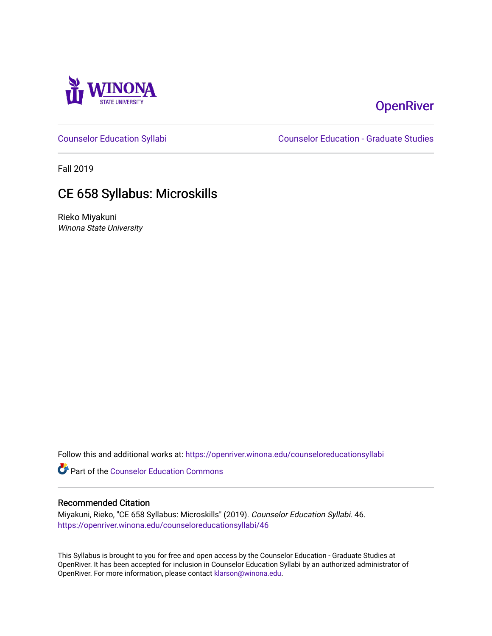

# **OpenRiver**

[Counselor Education Syllabi](https://openriver.winona.edu/counseloreducationsyllabi) [Counselor Education - Graduate Studies](https://openriver.winona.edu/counseloreducation) 

Fall 2019

# CE 658 Syllabus: Microskills

Rieko Miyakuni Winona State University

Follow this and additional works at: [https://openriver.winona.edu/counseloreducationsyllabi](https://openriver.winona.edu/counseloreducationsyllabi?utm_source=openriver.winona.edu%2Fcounseloreducationsyllabi%2F46&utm_medium=PDF&utm_campaign=PDFCoverPages)

Part of the [Counselor Education Commons](http://network.bepress.com/hgg/discipline/1278?utm_source=openriver.winona.edu%2Fcounseloreducationsyllabi%2F46&utm_medium=PDF&utm_campaign=PDFCoverPages) 

#### Recommended Citation

Miyakuni, Rieko, "CE 658 Syllabus: Microskills" (2019). Counselor Education Syllabi. 46. [https://openriver.winona.edu/counseloreducationsyllabi/46](https://openriver.winona.edu/counseloreducationsyllabi/46?utm_source=openriver.winona.edu%2Fcounseloreducationsyllabi%2F46&utm_medium=PDF&utm_campaign=PDFCoverPages) 

This Syllabus is brought to you for free and open access by the Counselor Education - Graduate Studies at OpenRiver. It has been accepted for inclusion in Counselor Education Syllabi by an authorized administrator of OpenRiver. For more information, please contact [klarson@winona.edu](mailto:klarson@winona.edu).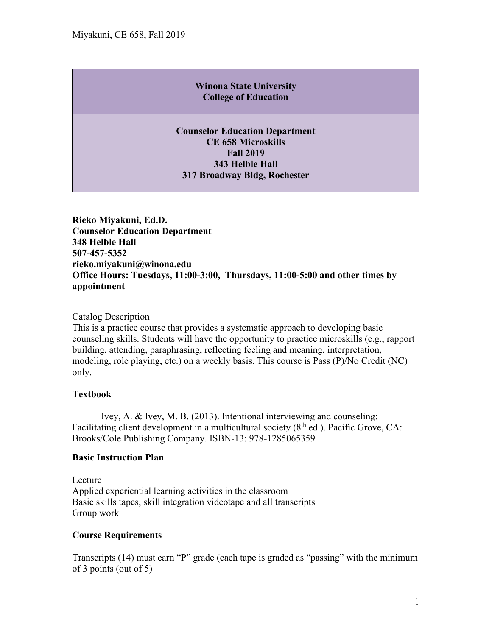## **Winona State University College of Education**

**Counselor Education Department CE 658 Microskills Fall 2019 343 Helble Hall 317 Broadway Bldg, Rochester**

**Rieko Miyakuni, Ed.D. Counselor Education Department 348 Helble Hall 507-457-5352 rieko.miyakuni@winona.edu Office Hours: Tuesdays, 11:00-3:00, Thursdays, 11:00-5:00 and other times by appointment** 

Catalog Description

This is a practice course that provides a systematic approach to developing basic counseling skills. Students will have the opportunity to practice microskills (e.g., rapport building, attending, paraphrasing, reflecting feeling and meaning, interpretation, modeling, role playing, etc.) on a weekly basis. This course is Pass (P)/No Credit (NC) only.

### **Textbook**

Ivey, A. & Ivey, M. B. (2013). Intentional interviewing and counseling: Facilitating client development in a multicultural society  $(8<sup>th</sup>$  ed.). Pacific Grove, CA: Brooks/Cole Publishing Company. ISBN-13: 978-1285065359

### **Basic Instruction Plan**

Lecture Applied experiential learning activities in the classroom Basic skills tapes, skill integration videotape and all transcripts Group work

### **Course Requirements**

Transcripts (14) must earn "P" grade (each tape is graded as "passing" with the minimum of 3 points (out of 5)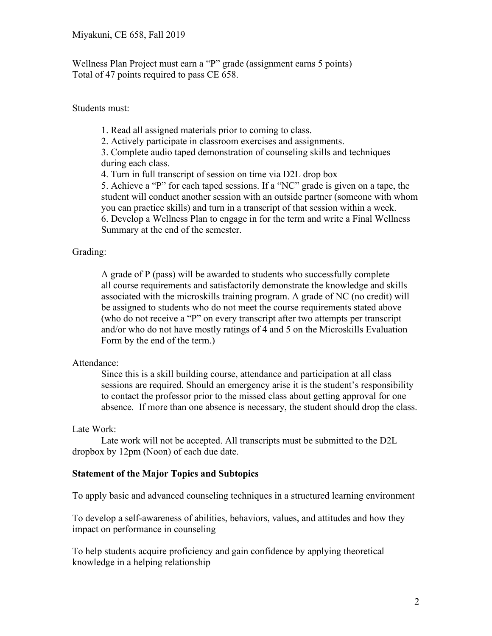Wellness Plan Project must earn a "P" grade (assignment earns 5 points) Total of 47 points required to pass CE 658.

Students must:

1. Read all assigned materials prior to coming to class.

2. Actively participate in classroom exercises and assignments.

3. Complete audio taped demonstration of counseling skills and techniques during each class.

4. Turn in full transcript of session on time via D2L drop box

5. Achieve a "P" for each taped sessions. If a "NC" grade is given on a tape, the student will conduct another session with an outside partner (someone with whom you can practice skills) and turn in a transcript of that session within a week. 6. Develop a Wellness Plan to engage in for the term and write a Final Wellness Summary at the end of the semester.

### Grading:

A grade of P (pass) will be awarded to students who successfully complete all course requirements and satisfactorily demonstrate the knowledge and skills associated with the microskills training program. A grade of NC (no credit) will be assigned to students who do not meet the course requirements stated above (who do not receive a "P" on every transcript after two attempts per transcript and/or who do not have mostly ratings of 4 and 5 on the Microskills Evaluation Form by the end of the term.)

#### Attendance:

Since this is a skill building course, attendance and participation at all class sessions are required. Should an emergency arise it is the student's responsibility to contact the professor prior to the missed class about getting approval for one absence. If more than one absence is necessary, the student should drop the class.

### Late Work:

Late work will not be accepted. All transcripts must be submitted to the D2L dropbox by 12pm (Noon) of each due date.

### **Statement of the Major Topics and Subtopics**

To apply basic and advanced counseling techniques in a structured learning environment

To develop a self-awareness of abilities, behaviors, values, and attitudes and how they impact on performance in counseling

To help students acquire proficiency and gain confidence by applying theoretical knowledge in a helping relationship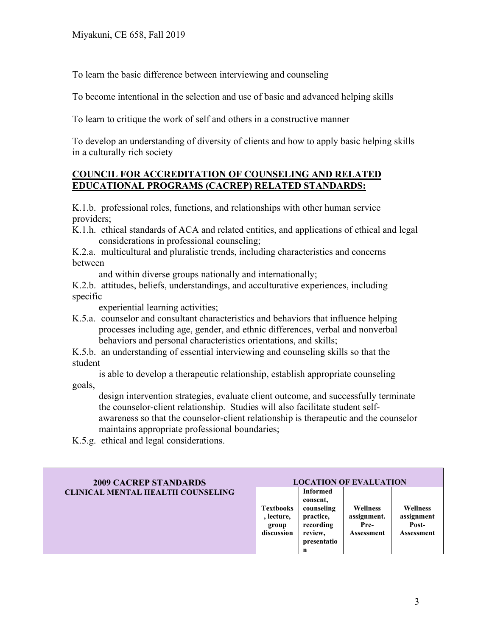To learn the basic difference between interviewing and counseling

To become intentional in the selection and use of basic and advanced helping skills

To learn to critique the work of self and others in a constructive manner

To develop an understanding of diversity of clients and how to apply basic helping skills in a culturally rich society

### **COUNCIL FOR ACCREDITATION OF COUNSELING AND RELATED EDUCATIONAL PROGRAMS (CACREP) RELATED STANDARDS:**

K.1.b. professional roles, functions, and relationships with other human service providers;

- K.1.h. ethical standards of ACA and related entities, and applications of ethical and legal considerations in professional counseling;
- K.2.a. multicultural and pluralistic trends, including characteristics and concerns between

and within diverse groups nationally and internationally;

K.2.b. attitudes, beliefs, understandings, and acculturative experiences, including specific

experiential learning activities;

- K.5.a. counselor and consultant characteristics and behaviors that influence helping processes including age, gender, and ethnic differences, verbal and nonverbal behaviors and personal characteristics orientations, and skills;
- K.5.b. an understanding of essential interviewing and counseling skills so that the student

 is able to develop a therapeutic relationship, establish appropriate counseling goals,

 design intervention strategies, evaluate client outcome, and successfully terminate the counselor-client relationship. Studies will also facilitate student self-

 awareness so that the counselor-client relationship is therapeutic and the counselor maintains appropriate professional boundaries;

K.5.g. ethical and legal considerations.

| <b>2009 CACREP STANDARDS</b>             |                                                       |                                                                                                    | <b>LOCATION OF EVALUATION</b>                        |                                               |
|------------------------------------------|-------------------------------------------------------|----------------------------------------------------------------------------------------------------|------------------------------------------------------|-----------------------------------------------|
| <b>CLINICAL MENTAL HEALTH COUNSELING</b> | <b>Textbooks</b><br>, lecture,<br>group<br>discussion | <b>Informed</b><br>consent.<br>counseling<br>practice,<br>recording<br>review,<br>presentatio<br>n | <b>Wellness</b><br>assignment.<br>Pre-<br>Assessment | Wellness<br>assignment<br>Post-<br>Assessment |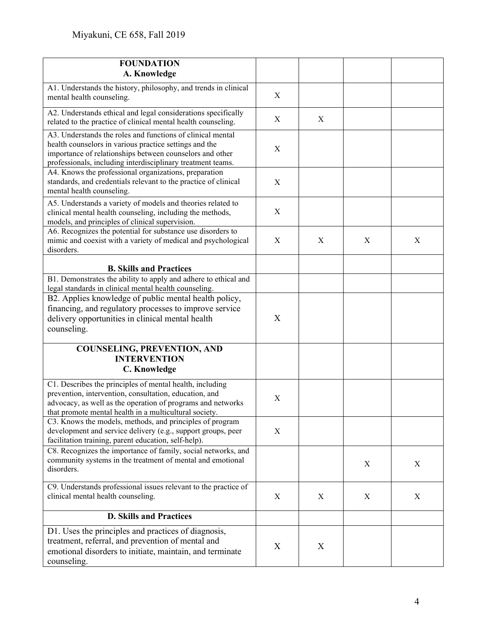| <b>FOUNDATION</b>                                                                                                                                                                                                                               |                  |   |   |   |
|-------------------------------------------------------------------------------------------------------------------------------------------------------------------------------------------------------------------------------------------------|------------------|---|---|---|
| A. Knowledge                                                                                                                                                                                                                                    |                  |   |   |   |
| A1. Understands the history, philosophy, and trends in clinical<br>mental health counseling.                                                                                                                                                    | X                |   |   |   |
| A2. Understands ethical and legal considerations specifically<br>related to the practice of clinical mental health counseling.                                                                                                                  | X                | X |   |   |
| A3. Understands the roles and functions of clinical mental<br>health counselors in various practice settings and the<br>importance of relationships between counselors and other<br>professionals, including interdisciplinary treatment teams. | X                |   |   |   |
| A4. Knows the professional organizations, preparation<br>standards, and credentials relevant to the practice of clinical<br>mental health counseling.                                                                                           | X                |   |   |   |
| A5. Understands a variety of models and theories related to<br>clinical mental health counseling, including the methods,<br>models, and principles of clinical supervision.                                                                     | X                |   |   |   |
| A6. Recognizes the potential for substance use disorders to<br>mimic and coexist with a variety of medical and psychological<br>disorders.                                                                                                      | X                | X | X | X |
| <b>B. Skills and Practices</b>                                                                                                                                                                                                                  |                  |   |   |   |
| B1. Demonstrates the ability to apply and adhere to ethical and<br>legal standards in clinical mental health counseling.                                                                                                                        |                  |   |   |   |
| B2. Applies knowledge of public mental health policy,<br>financing, and regulatory processes to improve service                                                                                                                                 | X                |   |   |   |
| delivery opportunities in clinical mental health<br>counseling.                                                                                                                                                                                 |                  |   |   |   |
| <b>COUNSELING, PREVENTION, AND</b><br><b>INTERVENTION</b><br><b>C. Knowledge</b>                                                                                                                                                                |                  |   |   |   |
| C1. Describes the principles of mental health, including<br>prevention, intervention, consultation, education, and<br>advocacy, as well as the operation of programs and networks<br>that promote mental health in a multicultural society.     | $\boldsymbol{X}$ |   |   |   |
| C3. Knows the models, methods, and principles of program<br>development and service delivery (e.g., support groups, peer<br>facilitation training, parent education, self-help).                                                                | X                |   |   |   |
| C8. Recognizes the importance of family, social networks, and<br>community systems in the treatment of mental and emotional<br>disorders.                                                                                                       |                  |   | X | X |
| C9. Understands professional issues relevant to the practice of<br>clinical mental health counseling.                                                                                                                                           | X                | X | X | X |
| <b>D. Skills and Practices</b>                                                                                                                                                                                                                  |                  |   |   |   |
| D1. Uses the principles and practices of diagnosis,<br>treatment, referral, and prevention of mental and<br>emotional disorders to initiate, maintain, and terminate<br>counseling.                                                             | X                | X |   |   |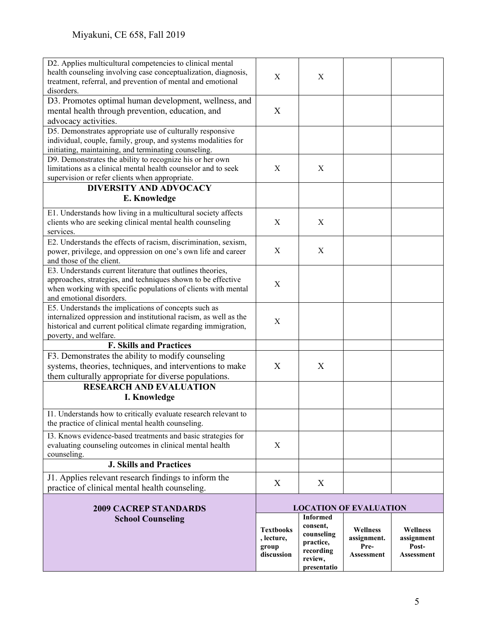| D2. Applies multicultural competencies to clinical mental<br>health counseling involving case conceptualization, diagnosis,<br>treatment, referral, and prevention of mental and emotional | X          | X                      |                               |                   |
|--------------------------------------------------------------------------------------------------------------------------------------------------------------------------------------------|------------|------------------------|-------------------------------|-------------------|
| disorders.<br>D3. Promotes optimal human development, wellness, and<br>mental health through prevention, education, and                                                                    | X          |                        |                               |                   |
| advocacy activities.                                                                                                                                                                       |            |                        |                               |                   |
| D5. Demonstrates appropriate use of culturally responsive                                                                                                                                  |            |                        |                               |                   |
| individual, couple, family, group, and systems modalities for                                                                                                                              |            |                        |                               |                   |
| initiating, maintaining, and terminating counseling.                                                                                                                                       |            |                        |                               |                   |
| D9. Demonstrates the ability to recognize his or her own                                                                                                                                   |            |                        |                               |                   |
| limitations as a clinical mental health counselor and to seek                                                                                                                              | X          | X                      |                               |                   |
| supervision or refer clients when appropriate.                                                                                                                                             |            |                        |                               |                   |
| <b>DIVERSITY AND ADVOCACY</b>                                                                                                                                                              |            |                        |                               |                   |
| E. Knowledge                                                                                                                                                                               |            |                        |                               |                   |
|                                                                                                                                                                                            |            |                        |                               |                   |
| E1. Understands how living in a multicultural society affects                                                                                                                              |            |                        |                               |                   |
| clients who are seeking clinical mental health counseling                                                                                                                                  | X          | X                      |                               |                   |
| services.                                                                                                                                                                                  |            |                        |                               |                   |
| E2. Understands the effects of racism, discrimination, sexism,                                                                                                                             |            |                        |                               |                   |
| power, privilege, and oppression on one's own life and career                                                                                                                              | X          | X                      |                               |                   |
| and those of the client.                                                                                                                                                                   |            |                        |                               |                   |
| E3. Understands current literature that outlines theories,                                                                                                                                 |            |                        |                               |                   |
| approaches, strategies, and techniques shown to be effective                                                                                                                               |            |                        |                               |                   |
| when working with specific populations of clients with mental                                                                                                                              | X          |                        |                               |                   |
| and emotional disorders.                                                                                                                                                                   |            |                        |                               |                   |
| E5. Understands the implications of concepts such as                                                                                                                                       |            |                        |                               |                   |
| internalized oppression and institutional racism, as well as the                                                                                                                           |            |                        |                               |                   |
| historical and current political climate regarding immigration,                                                                                                                            | X          |                        |                               |                   |
| poverty, and welfare.                                                                                                                                                                      |            |                        |                               |                   |
| <b>F. Skills and Practices</b>                                                                                                                                                             |            |                        |                               |                   |
| F3. Demonstrates the ability to modify counseling                                                                                                                                          |            |                        |                               |                   |
| systems, theories, techniques, and interventions to make                                                                                                                                   | X          | X                      |                               |                   |
| them culturally appropriate for diverse populations.                                                                                                                                       |            |                        |                               |                   |
| <b>RESEARCH AND EVALUATION</b>                                                                                                                                                             |            |                        |                               |                   |
|                                                                                                                                                                                            |            |                        |                               |                   |
| I. Knowledge                                                                                                                                                                               |            |                        |                               |                   |
| I1. Understands how to critically evaluate research relevant to                                                                                                                            |            |                        |                               |                   |
| the practice of clinical mental health counseling.                                                                                                                                         |            |                        |                               |                   |
|                                                                                                                                                                                            |            |                        |                               |                   |
| I3. Knows evidence-based treatments and basic strategies for                                                                                                                               |            |                        |                               |                   |
| evaluating counseling outcomes in clinical mental health                                                                                                                                   | X          |                        |                               |                   |
| counseling.                                                                                                                                                                                |            |                        |                               |                   |
| <b>J. Skills and Practices</b>                                                                                                                                                             |            |                        |                               |                   |
| J1. Applies relevant research findings to inform the                                                                                                                                       |            |                        |                               |                   |
| practice of clinical mental health counseling.                                                                                                                                             | X          | X                      |                               |                   |
|                                                                                                                                                                                            |            |                        |                               |                   |
| <b>2009 CACREP STANDARDS</b>                                                                                                                                                               |            |                        | <b>LOCATION OF EVALUATION</b> |                   |
| <b>School Counseling</b>                                                                                                                                                                   |            | <b>Informed</b>        |                               |                   |
|                                                                                                                                                                                            | Textbooks  | consent,               | Wellness                      | <b>Wellness</b>   |
|                                                                                                                                                                                            | , lecture, | counseling             | assignment.                   | assignment        |
|                                                                                                                                                                                            | group      | practice,              | Pre-                          | Post-             |
|                                                                                                                                                                                            | discussion | recording              | <b>Assessment</b>             | <b>Assessment</b> |
|                                                                                                                                                                                            |            | review,<br>presentatio |                               |                   |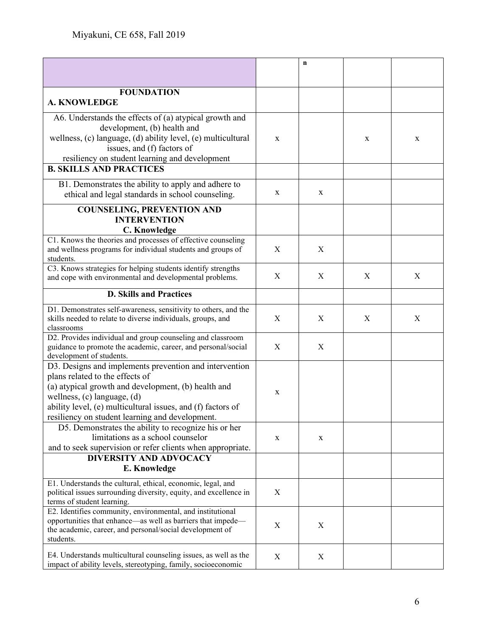|                                                                                                                                  |                  | $\mathbf n$ |   |   |
|----------------------------------------------------------------------------------------------------------------------------------|------------------|-------------|---|---|
|                                                                                                                                  |                  |             |   |   |
| <b>FOUNDATION</b>                                                                                                                |                  |             |   |   |
| <b>A. KNOWLEDGE</b>                                                                                                              |                  |             |   |   |
| A6. Understands the effects of (a) atypical growth and                                                                           |                  |             |   |   |
| development, (b) health and                                                                                                      |                  |             |   |   |
| wellness, (c) language, (d) ability level, (e) multicultural                                                                     | $\mathbf X$      |             | X | X |
| issues, and (f) factors of                                                                                                       |                  |             |   |   |
| resiliency on student learning and development                                                                                   |                  |             |   |   |
| <b>B. SKILLS AND PRACTICES</b>                                                                                                   |                  |             |   |   |
| B1. Demonstrates the ability to apply and adhere to                                                                              |                  |             |   |   |
| ethical and legal standards in school counseling.                                                                                | X                | X           |   |   |
| <b>COUNSELING, PREVENTION AND</b>                                                                                                |                  |             |   |   |
| <b>INTERVENTION</b>                                                                                                              |                  |             |   |   |
| C. Knowledge                                                                                                                     |                  |             |   |   |
| C1. Knows the theories and processes of effective counseling                                                                     |                  |             |   |   |
| and wellness programs for individual students and groups of                                                                      | X                | X           |   |   |
| students.<br>C3. Knows strategies for helping students identify strengths                                                        |                  |             |   |   |
| and cope with environmental and developmental problems.                                                                          | X                | X           | X | X |
|                                                                                                                                  |                  |             |   |   |
| <b>D. Skills and Practices</b>                                                                                                   |                  |             |   |   |
| D1. Demonstrates self-awareness, sensitivity to others, and the                                                                  |                  |             |   |   |
| skills needed to relate to diverse individuals, groups, and                                                                      | X                | X           | X | X |
| classrooms                                                                                                                       |                  |             |   |   |
| D2. Provides individual and group counseling and classroom<br>guidance to promote the academic, career, and personal/social      | $\boldsymbol{X}$ | X           |   |   |
| development of students.                                                                                                         |                  |             |   |   |
| D3. Designs and implements prevention and intervention                                                                           |                  |             |   |   |
| plans related to the effects of                                                                                                  |                  |             |   |   |
| (a) atypical growth and development, (b) health and                                                                              |                  |             |   |   |
| wellness, $(c)$ language, $(d)$                                                                                                  | X                |             |   |   |
| ability level, (e) multicultural issues, and (f) factors of                                                                      |                  |             |   |   |
| resiliency on student learning and development.                                                                                  |                  |             |   |   |
| D5. Demonstrates the ability to recognize his or her                                                                             |                  |             |   |   |
| limitations as a school counselor                                                                                                | X                | X           |   |   |
| and to seek supervision or refer clients when appropriate.                                                                       |                  |             |   |   |
| <b>DIVERSITY AND ADVOCACY</b>                                                                                                    |                  |             |   |   |
| E. Knowledge                                                                                                                     |                  |             |   |   |
| E1. Understands the cultural, ethical, economic, legal, and                                                                      |                  |             |   |   |
| political issues surrounding diversity, equity, and excellence in                                                                | X                |             |   |   |
| terms of student learning.                                                                                                       |                  |             |   |   |
| E2. Identifies community, environmental, and institutional<br>opportunities that enhance—as well as barriers that impede—        |                  |             |   |   |
| the academic, career, and personal/social development of                                                                         | X                | X           |   |   |
| students.                                                                                                                        |                  |             |   |   |
|                                                                                                                                  |                  |             |   |   |
| E4. Understands multicultural counseling issues, as well as the<br>impact of ability levels, stereotyping, family, socioeconomic | X                | X           |   |   |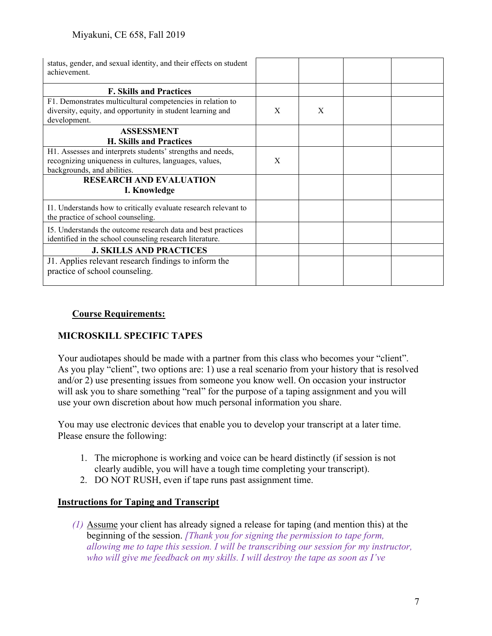| status, gender, and sexual identity, and their effects on student<br>achievement.                                        |   |   |  |
|--------------------------------------------------------------------------------------------------------------------------|---|---|--|
| <b>F. Skills and Practices</b>                                                                                           |   |   |  |
| F1. Demonstrates multicultural competencies in relation to                                                               |   |   |  |
| diversity, equity, and opportunity in student learning and                                                               | X | X |  |
| development.                                                                                                             |   |   |  |
| <b>ASSESSMENT</b>                                                                                                        |   |   |  |
| <b>H. Skills and Practices</b>                                                                                           |   |   |  |
| H1. Assesses and interprets students' strengths and needs,                                                               |   |   |  |
| recognizing uniqueness in cultures, languages, values,                                                                   | X |   |  |
| backgrounds, and abilities.                                                                                              |   |   |  |
| <b>RESEARCH AND EVALUATION</b><br>I. Knowledge                                                                           |   |   |  |
| I1. Understands how to critically evaluate research relevant to<br>the practice of school counseling.                    |   |   |  |
| I5. Understands the outcome research data and best practices<br>identified in the school counseling research literature. |   |   |  |
| <b>J. SKILLS AND PRACTICES</b>                                                                                           |   |   |  |
| J1. Applies relevant research findings to inform the                                                                     |   |   |  |
| practice of school counseling.                                                                                           |   |   |  |
|                                                                                                                          |   |   |  |

# **Course Requirements:**

# **MICROSKILL SPECIFIC TAPES**

Your audiotapes should be made with a partner from this class who becomes your "client". As you play "client", two options are: 1) use a real scenario from your history that is resolved and/or 2) use presenting issues from someone you know well. On occasion your instructor will ask you to share something "real" for the purpose of a taping assignment and you will use your own discretion about how much personal information you share.

You may use electronic devices that enable you to develop your transcript at a later time. Please ensure the following:

- 1. The microphone is working and voice can be heard distinctly (if session is not clearly audible, you will have a tough time completing your transcript).
- 2. DO NOT RUSH, even if tape runs past assignment time.

### **Instructions for Taping and Transcript**

*(1)* Assume your client has already signed a release for taping (and mention this) at the beginning of the session. *[Thank you for signing the permission to tape form, allowing me to tape this session. I will be transcribing our session for my instructor, who will give me feedback on my skills. I will destroy the tape as soon as I've*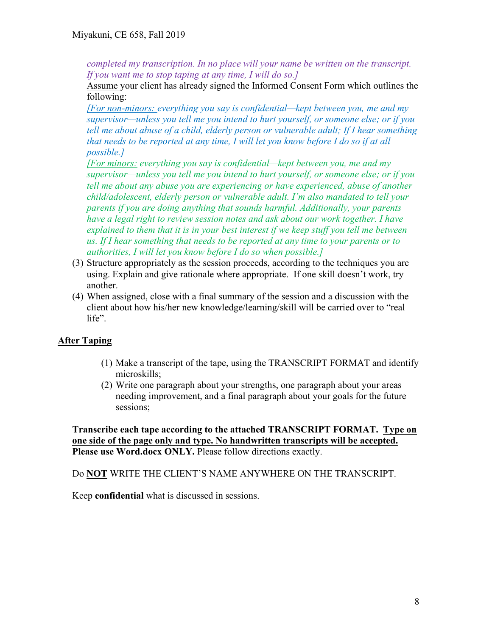*completed my transcription. In no place will your name be written on the transcript. If you want me to stop taping at any time, I will do so.]*

Assume your client has already signed the Informed Consent Form which outlines the following:

*[For non-minors: everything you say is confidential—kept between you, me and my supervisor—unless you tell me you intend to hurt yourself, or someone else; or if you tell me about abuse of a child, elderly person or vulnerable adult; If I hear something that needs to be reported at any time, I will let you know before I do so if at all possible.]*

*[For minors: everything you say is confidential—kept between you, me and my supervisor—unless you tell me you intend to hurt yourself, or someone else; or if you tell me about any abuse you are experiencing or have experienced, abuse of another child/adolescent, elderly person or vulnerable adult. I'm also mandated to tell your parents if you are doing anything that sounds harmful. Additionally, your parents have a legal right to review session notes and ask about our work together. I have explained to them that it is in your best interest if we keep stuff you tell me between us. If I hear something that needs to be reported at any time to your parents or to authorities, I will let you know before I do so when possible.]*

- (3) Structure appropriately as the session proceeds, according to the techniques you are using. Explain and give rationale where appropriate. If one skill doesn't work, try another.
- (4) When assigned, close with a final summary of the session and a discussion with the client about how his/her new knowledge/learning/skill will be carried over to "real life".

# **After Taping**

- (1) Make a transcript of the tape, using the TRANSCRIPT FORMAT and identify microskills;
- (2) Write one paragraph about your strengths, one paragraph about your areas needing improvement, and a final paragraph about your goals for the future sessions;

**Transcribe each tape according to the attached TRANSCRIPT FORMAT. Type on one side of the page only and type. No handwritten transcripts will be accepted. Please use Word.docx ONLY.** Please follow directions exactly.

Do **NOT** WRITE THE CLIENT'S NAME ANYWHERE ON THE TRANSCRIPT.

Keep **confidential** what is discussed in sessions.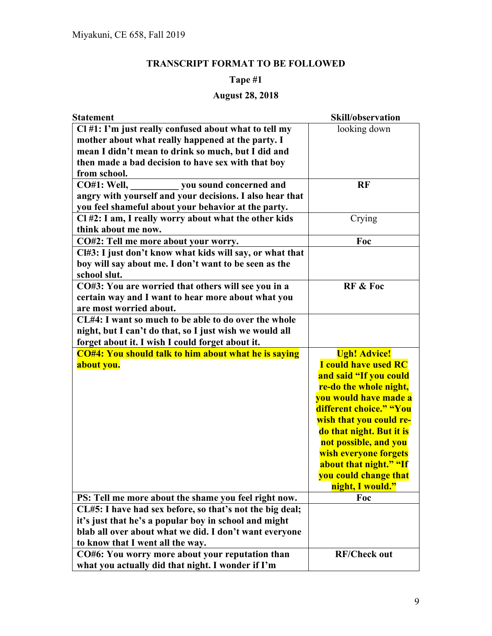# **TRANSCRIPT FORMAT TO BE FOLLOWED**

# **Tape #1**

# **August 28, 2018**

| <b>Statement</b>                                            | Skill/observation                  |
|-------------------------------------------------------------|------------------------------------|
| Cl #1: I'm just really confused about what to tell my       | looking down                       |
| mother about what really happened at the party. I           |                                    |
| mean I didn't mean to drink so much, but I did and          |                                    |
| then made a bad decision to have sex with that boy          |                                    |
| from school.                                                |                                    |
| <b>CO#1: Well,</b><br>you sound concerned and               | <b>RF</b>                          |
| angry with yourself and your decisions. I also hear that    |                                    |
| you feel shameful about your behavior at the party.         |                                    |
| Cl #2: I am, I really worry about what the other kids       | Crying                             |
| think about me now.                                         |                                    |
| CO#2: Tell me more about your worry.                        | Foc                                |
| Cl#3: I just don't know what kids will say, or what that    |                                    |
| boy will say about me. I don't want to be seen as the       |                                    |
| school slut.                                                |                                    |
| CO#3: You are worried that others will see you in a         | <b>RF &amp; Foc</b>                |
| certain way and I want to hear more about what you          |                                    |
| are most worried about.                                     |                                    |
| CL#4: I want so much to be able to do over the whole        |                                    |
| night, but I can't do that, so I just wish we would all     |                                    |
| forget about it. I wish I could forget about it.            |                                    |
| <b>CO#4: You should talk to him about what he is saying</b> | <b>Ugh! Advice!</b>                |
| about you.                                                  | <b>I</b> could have used RC        |
|                                                             | and said "If you could             |
|                                                             | re-do the whole night,             |
|                                                             | <mark>you would have made a</mark> |
|                                                             | different choice." "You            |
|                                                             | wish that you could re-            |
|                                                             | do that night. But it is           |
|                                                             | not possible, and you              |
|                                                             | wish everyone forgets              |
|                                                             | about that night." "If             |
|                                                             | you could change that              |
|                                                             | night, I would."                   |
| PS: Tell me more about the shame you feel right now.        | Foc                                |
| CL#5: I have had sex before, so that's not the big deal;    |                                    |
| it's just that he's a popular boy in school and might       |                                    |
| blab all over about what we did. I don't want everyone      |                                    |
| to know that I went all the way.                            |                                    |
| CO#6: You worry more about your reputation than             | <b>RF/Check out</b>                |
| what you actually did that night. I wonder if I'm           |                                    |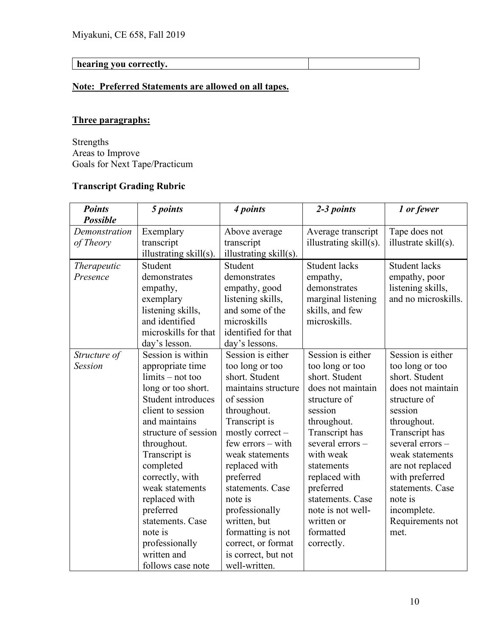# **hearing you correctly.**

# **Note: Preferred Statements are allowed on all tapes.**

# **Three paragraphs:**

Strengths Areas to Improve Goals for Next Tape/Practicum

# **Transcript Grading Rubric**

| <b>Points</b>      | 5 points               | 4 points               | 2-3 points             | 1 or fewer           |
|--------------------|------------------------|------------------------|------------------------|----------------------|
| <b>Possible</b>    |                        |                        |                        |                      |
| Demonstration      | Exemplary              | Above average          | Average transcript     | Tape does not        |
| of Theory          | transcript             | transcript             | illustrating skill(s). | illustrate skill(s). |
|                    | illustrating skill(s). | illustrating skill(s). |                        |                      |
| <b>Therapeutic</b> | Student                | Student                | <b>Student lacks</b>   | <b>Student lacks</b> |
| Presence           | demonstrates           | demonstrates           | empathy,               | empathy, poor        |
|                    | empathy,               | empathy, good          | demonstrates           | listening skills,    |
|                    | exemplary              | listening skills,      | marginal listening     | and no microskills.  |
|                    | listening skills,      | and some of the        | skills, and few        |                      |
|                    | and identified         | microskills            | microskills.           |                      |
|                    | microskills for that   | identified for that    |                        |                      |
|                    | day's lesson.          | day's lessons.         |                        |                      |
| Structure of       | Session is within      | Session is either      | Session is either      | Session is either    |
| <b>Session</b>     | appropriate time       | too long or too        | too long or too        | too long or too      |
|                    | $\lim$ its – not too   | short. Student         | short. Student         | short. Student       |
|                    | long or too short.     | maintains structure    | does not maintain      | does not maintain    |
|                    | Student introduces     | of session             | structure of           | structure of         |
|                    | client to session      | throughout.            | session                | session              |
|                    | and maintains          | Transcript is          | throughout.            | throughout.          |
|                    | structure of session   | mostly correct $-$     | Transcript has         | Transcript has       |
|                    | throughout.            | few errors - with      | several errors-        | several errors-      |
|                    | Transcript is          | weak statements        | with weak              | weak statements      |
|                    | completed              | replaced with          | statements             | are not replaced     |
|                    | correctly, with        | preferred              | replaced with          | with preferred       |
|                    | weak statements        | statements. Case       | preferred              | statements. Case     |
|                    | replaced with          | note is                | statements. Case       | note is              |
|                    | preferred              | professionally         | note is not well-      | incomplete.          |
|                    | statements. Case       | written, but           | written or             | Requirements not     |
|                    | note is                | formatting is not      | formatted              | met.                 |
|                    | professionally         | correct, or format     | correctly.             |                      |
|                    | written and            | is correct, but not    |                        |                      |
|                    | follows case note      | well-written.          |                        |                      |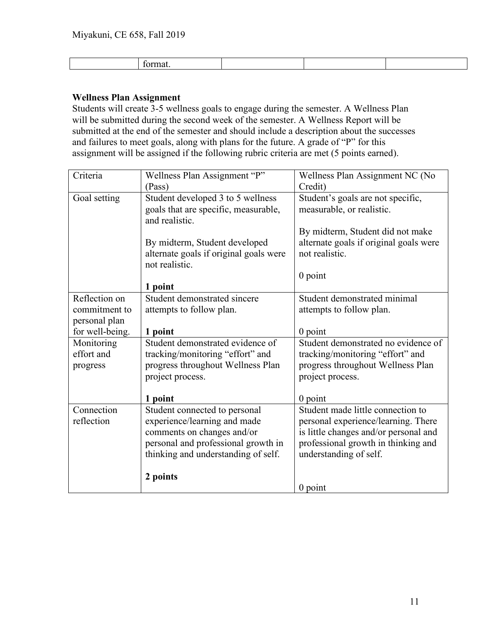#### **Wellness Plan Assignment**

Students will create 3-5 wellness goals to engage during the semester. A Wellness Plan will be submitted during the second week of the semester. A Wellness Report will be submitted at the end of the semester and should include a description about the successes and failures to meet goals, along with plans for the future. A grade of "P" for this assignment will be assigned if the following rubric criteria are met (5 points earned).

| Criteria                         | Wellness Plan Assignment "P"<br>(Pass)                                                      | Wellness Plan Assignment NC (No<br>Credit)                     |
|----------------------------------|---------------------------------------------------------------------------------------------|----------------------------------------------------------------|
| Goal setting                     | Student developed 3 to 5 wellness<br>goals that are specific, measurable,<br>and realistic. | Student's goals are not specific,<br>measurable, or realistic. |
|                                  |                                                                                             | By midterm, Student did not make                               |
|                                  | By midterm, Student developed<br>alternate goals if original goals were<br>not realistic.   | alternate goals if original goals were<br>not realistic.       |
|                                  |                                                                                             | $0$ point                                                      |
|                                  | 1 point                                                                                     |                                                                |
| Reflection on                    | Student demonstrated sincere                                                                | Student demonstrated minimal                                   |
| commitment to                    | attempts to follow plan.                                                                    | attempts to follow plan.                                       |
| personal plan<br>for well-being. | 1 point                                                                                     | $0$ point                                                      |
| Monitoring                       | Student demonstrated evidence of                                                            | Student demonstrated no evidence of                            |
| effort and                       | tracking/monitoring "effort" and                                                            | tracking/monitoring "effort" and                               |
| progress                         | progress throughout Wellness Plan                                                           | progress throughout Wellness Plan                              |
|                                  | project process.                                                                            | project process.                                               |
|                                  |                                                                                             |                                                                |
|                                  | 1 point                                                                                     | $0$ point                                                      |
| Connection                       | Student connected to personal                                                               | Student made little connection to                              |
| reflection                       | experience/learning and made                                                                | personal experience/learning. There                            |
|                                  | comments on changes and/or                                                                  | is little changes and/or personal and                          |
|                                  | personal and professional growth in                                                         | professional growth in thinking and                            |
|                                  | thinking and understanding of self.                                                         | understanding of self.                                         |
|                                  | 2 points                                                                                    |                                                                |
|                                  |                                                                                             | $0$ point                                                      |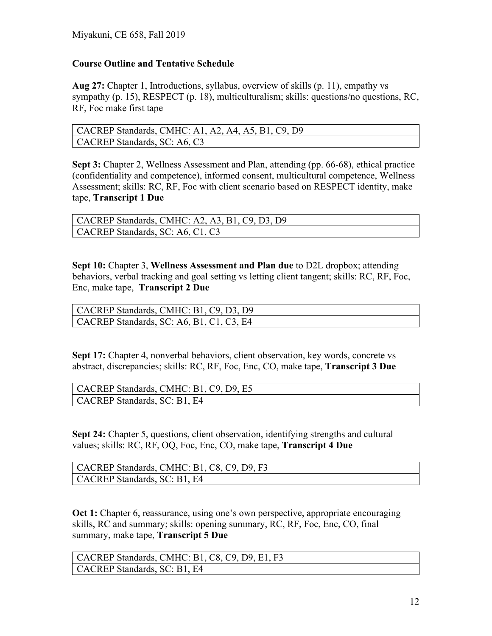## **Course Outline and Tentative Schedule**

**Aug 27:** Chapter 1, Introductions, syllabus, overview of skills (p. 11), empathy vs sympathy (p. 15), RESPECT (p. 18), multiculturalism; skills: questions/no questions, RC, RF, Foc make first tape

| CACREP Standards, CMHC: A1, A2, A4, A5, B1, C9, D9 |
|----------------------------------------------------|
| $\vert$ CACREP Standards, SC: A6, C3               |

**Sept 3:** Chapter 2, Wellness Assessment and Plan, attending (pp. 66-68), ethical practice (confidentiality and competence), informed consent, multicultural competence, Wellness Assessment; skills: RC, RF, Foc with client scenario based on RESPECT identity, make tape, **Transcript 1 Due**

| CACREP Standards, CMHC: A2, A3, B1, C9, D3, D9 |
|------------------------------------------------|
| CACREP Standards, SC: A6, C1, C3               |

**Sept 10:** Chapter 3, **Wellness Assessment and Plan due** to D2L dropbox; attending behaviors, verbal tracking and goal setting vs letting client tangent; skills: RC, RF, Foc, Enc, make tape, **Transcript 2 Due**

| CACREP Standards, CMHC: B1, C9, D3, D9   |
|------------------------------------------|
| CACREP Standards, SC: A6, B1, C1, C3, E4 |

**Sept 17:** Chapter 4, nonverbal behaviors, client observation, key words, concrete vs abstract, discrepancies; skills: RC, RF, Foc, Enc, CO, make tape, **Transcript 3 Due**

| CACREP Standards, CMHC: B1, C9, D9, E5 |
|----------------------------------------|
| CACREP Standards, SC: B1, E4           |

**Sept 24:** Chapter 5, questions, client observation, identifying strengths and cultural values; skills: RC, RF, OQ, Foc, Enc, CO, make tape, **Transcript 4 Due**

| CACREP Standards, CMHC: B1, C8, C9, D9, F3 |  |
|--------------------------------------------|--|
| CACREP Standards, SC: B1, E4               |  |

**Oct 1:** Chapter 6, reassurance, using one's own perspective, appropriate encouraging skills, RC and summary; skills: opening summary, RC, RF, Foc, Enc, CO, final summary, make tape, **Transcript 5 Due**

CACREP Standards, CMHC: B1, C8, C9, D9, E1, F3 CACREP Standards, SC: B1, E4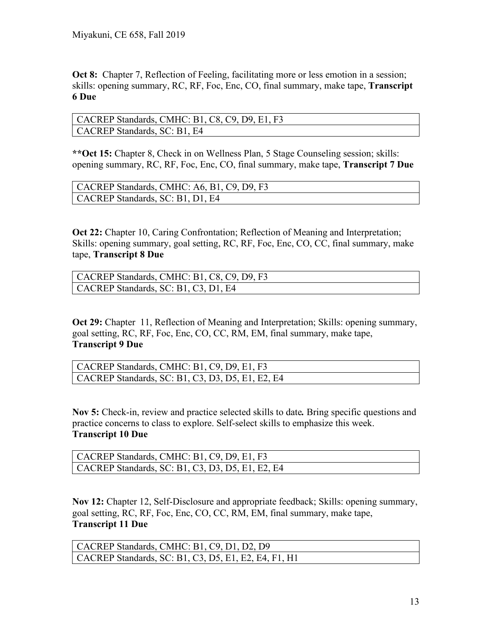**Oct 8:** Chapter 7, Reflection of Feeling, facilitating more or less emotion in a session; skills: opening summary, RC, RF, Foc, Enc, CO, final summary, make tape, **Transcript 6 Due**

CACREP Standards, CMHC: B1, C8, C9, D9, E1, F3 CACREP Standards, SC: B1, E4

**\*\*Oct 15:** Chapter 8, Check in on Wellness Plan, 5 Stage Counseling session; skills: opening summary, RC, RF, Foc, Enc, CO, final summary, make tape, **Transcript 7 Due**

| CACREP Standards, CMHC: A6, B1, C9, D9, F3 |  |
|--------------------------------------------|--|
| CACREP Standards, SC: B1, D1, E4           |  |

**Oct 22:** Chapter 10, Caring Confrontation; Reflection of Meaning and Interpretation; Skills: opening summary, goal setting, RC, RF, Foc, Enc, CO, CC, final summary, make tape, **Transcript 8 Due**

| CACREP Standards, CMHC: B1, C8, C9, D9, F3 |
|--------------------------------------------|
| CACREP Standards, SC: B1, C3, D1, E4       |

**Oct 29:** Chapter 11, Reflection of Meaning and Interpretation; Skills: opening summary, goal setting, RC, RF, Foc, Enc, CO, CC, RM, EM, final summary, make tape, **Transcript 9 Due**

| CACREP Standards, CMHC: B1, C9, D9, E1, F3       |
|--------------------------------------------------|
| CACREP Standards, SC: B1, C3, D3, D5, E1, E2, E4 |

**Nov 5:** Check-in, review and practice selected skills to date*.* Bring specific questions and practice concerns to class to explore. Self-select skills to emphasize this week. **Transcript 10 Due**

| CACREP Standards, CMHC: B1, C9, D9, E1, F3               |
|----------------------------------------------------------|
| $\vert$ CACREP Standards, SC: B1, C3, D3, D5, E1, E2, E4 |

**Nov 12:** Chapter 12, Self-Disclosure and appropriate feedback; Skills: opening summary, goal setting, RC, RF, Foc, Enc, CO, CC, RM, EM, final summary, make tape, **Transcript 11 Due**

| CACREP Standards, CMHC: B1, C9, D1, D2, D9                   |
|--------------------------------------------------------------|
| $\vert$ CACREP Standards, SC: B1, C3, D5, E1, E2, E4, F1, H1 |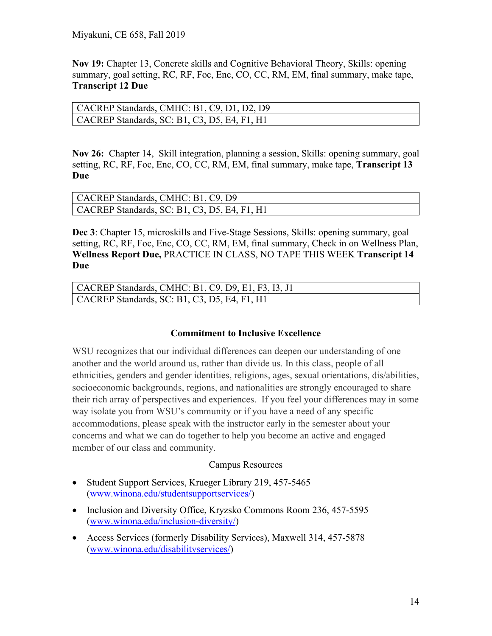**Nov 19:** Chapter 13, Concrete skills and Cognitive Behavioral Theory, Skills: opening summary, goal setting, RC, RF, Foc, Enc, CO, CC, RM, EM, final summary, make tape, **Transcript 12 Due**

| CACREP Standards, CMHC: B1, C9, D1, D2, D9           |  |
|------------------------------------------------------|--|
| $\vert$ CACREP Standards, SC: B1, C3, D5, E4, F1, H1 |  |

**Nov 26:** Chapter 14, Skill integration, planning a session, Skills: opening summary, goal setting, RC, RF, Foc, Enc, CO, CC, RM, EM, final summary, make tape, **Transcript 13 Due**

| CACREP Standards, CMHC: B1, C9, D9                   |  |
|------------------------------------------------------|--|
| $\vert$ CACREP Standards, SC: B1, C3, D5, E4, F1, H1 |  |

**Dec 3**: Chapter 15, microskills and Five-Stage Sessions, Skills: opening summary, goal setting, RC, RF, Foc, Enc, CO, CC, RM, EM, final summary, Check in on Wellness Plan, **Wellness Report Due,** PRACTICE IN CLASS, NO TAPE THIS WEEK **Transcript 14 Due**

| CACREP Standards, CMHC: B1, C9, D9, E1, F3, I3, J1 |
|----------------------------------------------------|
| CACREP Standards, SC: B1, C3, D5, E4, F1, H1       |

### **Commitment to Inclusive Excellence**

WSU recognizes that our individual differences can deepen our understanding of one another and the world around us, rather than divide us. In this class, people of all ethnicities, genders and gender identities, religions, ages, sexual orientations, dis/abilities, socioeconomic backgrounds, regions, and nationalities are strongly encouraged to share their rich array of perspectives and experiences. If you feel your differences may in some way isolate you from WSU's community or if you have a need of any specific accommodations, please speak with the instructor early in the semester about your concerns and what we can do together to help you become an active and engaged member of our class and community.

### Campus Resources

- Student Support Services, Krueger Library 219, 457-5465 [\(www.winona.edu/studentsupportservices/\)](http://www.winona.edu/studentsupportservices/)
- Inclusion and Diversity Office, Kryzsko Commons Room 236, 457-5595 [\(www.winona.edu/inclusion-diversity/\)](http://www.winona.edu/inclusion-diversity/)
- Access Services (formerly Disability Services), Maxwell 314, 457-5878 [\(www.winona.edu/disabilityservices/\)](http://www.winona.edu/disabilityservices/)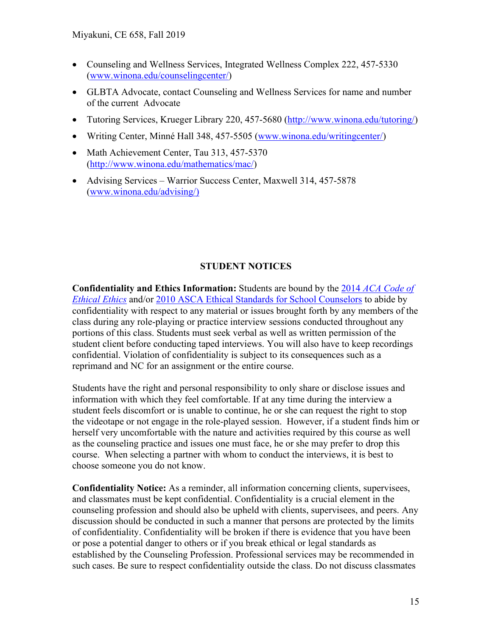- Counseling and Wellness Services, Integrated Wellness Complex 222, 457-5330 [\(www.winona.edu/counselingcenter/\)](http://www.winona.edu/counselingcenter/)
- GLBTA Advocate, contact Counseling and Wellness Services for name and number of the current Advocate
- Tutoring Services, Krueger Library 220, 457-5680 [\(http://www.winona.edu/tutoring/\)](http://www.winona.edu/tutoring/)
- Writing Center, Minné Hall 348, 457-5505 [\(www.winona.edu/writingcenter/\)](http://www.winona.edu/writingcenter/)
- Math Achievement Center, Tau 313, 457-5370 [\(http://www.winona.edu/mathematics/mac/\)](http://www.winona.edu/mathematics/mac/)
- Advising Services Warrior Success Center, Maxwell 314, 457-5878 [\(www.winona.edu/advising/\)](http://www.winona.edu/advising/))

### **STUDENT NOTICES**

**Confidentiality and Ethics Information:** Students are bound by the 2014 *[ACA Code of](http://www.counseling.org/Resources/aca-code-of-ethics.pdf)  [Ethical Ethics](http://www.counseling.org/Resources/aca-code-of-ethics.pdf)* and/or [2010 ASCA Ethical Standards for School Counselors](http://www.schoolcounselor.org/asca/media/asca/Resource%20Center/Legal%20and%20Ethical%20Issues/Sample%20Documents/EthicalStandards2010.pdf) to abide by confidentiality with respect to any material or issues brought forth by any members of the class during any role-playing or practice interview sessions conducted throughout any portions of this class. Students must seek verbal as well as written permission of the student client before conducting taped interviews. You will also have to keep recordings confidential. Violation of confidentiality is subject to its consequences such as a reprimand and NC for an assignment or the entire course.

Students have the right and personal responsibility to only share or disclose issues and information with which they feel comfortable. If at any time during the interview a student feels discomfort or is unable to continue, he or she can request the right to stop the videotape or not engage in the role-played session. However, if a student finds him or herself very uncomfortable with the nature and activities required by this course as well as the counseling practice and issues one must face, he or she may prefer to drop this course. When selecting a partner with whom to conduct the interviews, it is best to choose someone you do not know.

**Confidentiality Notice:** As a reminder, all information concerning clients, supervisees, and classmates must be kept confidential. Confidentiality is a crucial element in the counseling profession and should also be upheld with clients, supervisees, and peers. Any discussion should be conducted in such a manner that persons are protected by the limits of confidentiality. Confidentiality will be broken if there is evidence that you have been or pose a potential danger to others or if you break ethical or legal standards as established by the Counseling Profession. Professional services may be recommended in such cases. Be sure to respect confidentiality outside the class. Do not discuss classmates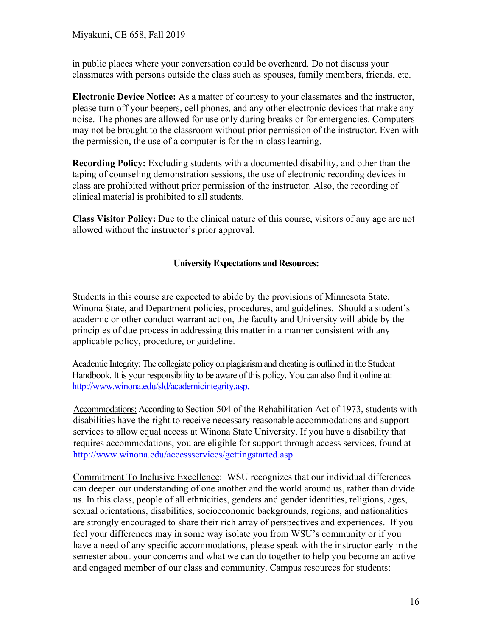in public places where your conversation could be overheard. Do not discuss your classmates with persons outside the class such as spouses, family members, friends, etc.

**Electronic Device Notice:** As a matter of courtesy to your classmates and the instructor, please turn off your beepers, cell phones, and any other electronic devices that make any noise. The phones are allowed for use only during breaks or for emergencies. Computers may not be brought to the classroom without prior permission of the instructor. Even with the permission, the use of a computer is for the in-class learning.

**Recording Policy:** Excluding students with a documented disability, and other than the taping of counseling demonstration sessions, the use of electronic recording devices in class are prohibited without prior permission of the instructor. Also, the recording of clinical material is prohibited to all students.

**Class Visitor Policy:** Due to the clinical nature of this course, visitors of any age are not allowed without the instructor's prior approval.

### **University Expectations and Resources:**

Students in this course are expected to abide by the provisions of Minnesota State, Winona State, and Department policies, procedures, and guidelines. Should a student's academic or other conduct warrant action, the faculty and University will abide by the principles of due process in addressing this matter in a manner consistent with any applicable policy, procedure, or guideline.

Academic Integrity:The collegiate policy on plagiarism and cheating is outlined in the Student Handbook. It is your responsibility to be aware of this policy. You can also find it online at: [http://www.winona.edu/sld/academicintegrity.asp.](http://www.winona.edu/sld/academicintegrity.asp)

Accommodations: According to Section 504 of the Rehabilitation Act of 1973, students with disabilities have the right to receive necessary reasonable accommodations and support services to allow equal access at Winona State University. If you have a disability that requires accommodations, you are eligible for support through access services, found at [http://www.winona.edu/accessservices/gettingstarted.asp.](http://www.winona.edu/accessservices/gettingstarted.asp)

Commitment To Inclusive Excellence: WSU recognizes that our individual differences can deepen our understanding of one another and the world around us, rather than divide us. In this class, people of all ethnicities, genders and gender identities, religions, ages, sexual orientations, disabilities, socioeconomic backgrounds, regions, and nationalities are strongly encouraged to share their rich array of perspectives and experiences. If you feel your differences may in some way isolate you from WSU's community or if you have a need of any specific accommodations, please speak with the instructor early in the semester about your concerns and what we can do together to help you become an active and engaged member of our class and community. Campus resources for students: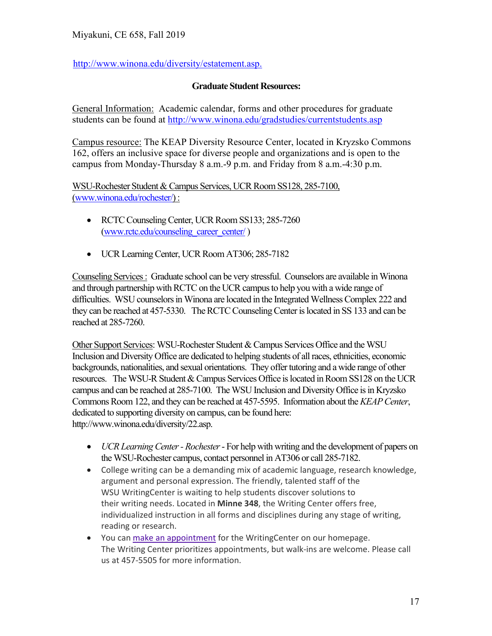[http://www.winona.edu/diversity/estatement.asp.](http://www.winona.edu/diversity/estatement.asp)

# **Graduate Student Resources:**

General Information: Academic calendar, forms and other procedures for graduate students can be found at<http://www.winona.edu/gradstudies/currentstudents.asp>

Campus resource: The KEAP Diversity Resource Center, located in Kryzsko Commons 162, offers an inclusive space for diverse people and organizations and is open to the campus from Monday-Thursday 8 a.m.-9 p.m. and Friday from 8 a.m.-4:30 p.m.

WSU-Rochester Student & Campus Services, UCR Room SS128, 285-7100, [\(www.winona.edu/rochester/\)](http://www.winona.edu/rochester/) :

- RCTC Counseling Center, UCR Room SS133; 285-7260 [\(www.rctc.edu/counseling\\_career\\_center/](http://www.rctc.edu/counseling_career_center/))
- UCR Learning Center, UCR Room AT306; 285-7182

Counseling Services : Graduate school can be very stressful. Counselors are available in Winona and through partnership with RCTC on the UCR campus to help you with a wide range of difficulties. WSU counselors in Winona are located in the Integrated Wellness Complex 222 and they can be reached at 457-5330. The RCTC Counseling Center is located in SS 133 and can be reached at 285-7260.

Other Support Services: WSU-Rochester Student & Campus Services Office and the WSU Inclusion and Diversity Office are dedicated to helping students of all races, ethnicities, economic backgrounds, nationalities, and sexual orientations. They offer tutoring and a wide range of other resources. The WSU-R Student & Campus Services Office is located in Room SS128 on the UCR campus and can be reached at 285-7100. The WSU Inclusion and Diversity Office is in Kryzsko Commons Room 122, and they can be reached at 457-5595. Information about the *KEAP Center*, dedicated to supporting diversity on campus, can be found here: http://www.winona.edu/diversity/22.asp.

- *UCR Learning Center - Rochester* For help with writing and the development of papers on the WSU-Rochester campus, contact personnel in AT306 or call 285-7182.
- College writing can be a demanding mix of academic language, research knowledge, argument and personal expression. The friendly, talented staff of the WSU WritingCenter is waiting to help students discover solutions to their writing needs. Located in **Minne 348**, the Writing Center offers free, individualized instruction in all forms and disciplines during any stage of writing, reading or research.
- You can make an [appointment](https://nam02.safelinks.protection.outlook.com/?url=https%3A%2F%2Ftutortrac.winona.edu%2FTracWeb40%2FDefault.html&data=02%7C01%7Crieko.miyakuni%40winona.edu%7Cbf9f70f43fed4cab718608d7267533aa%7C5011c7c60ab446ab9ef4fae74a921a7f%7C0%7C0%7C637020157438132294&sdata=FvaxpyiO8vfwisQ6yn9Azmp4AVIHuDhSuGOL1Frr8l8%3D&reserved=0) for the WritingCenter on our homepage. The Writing Center prioritizes appointments, but walk-ins are welcome. Please call us at 457-5505 for more information.